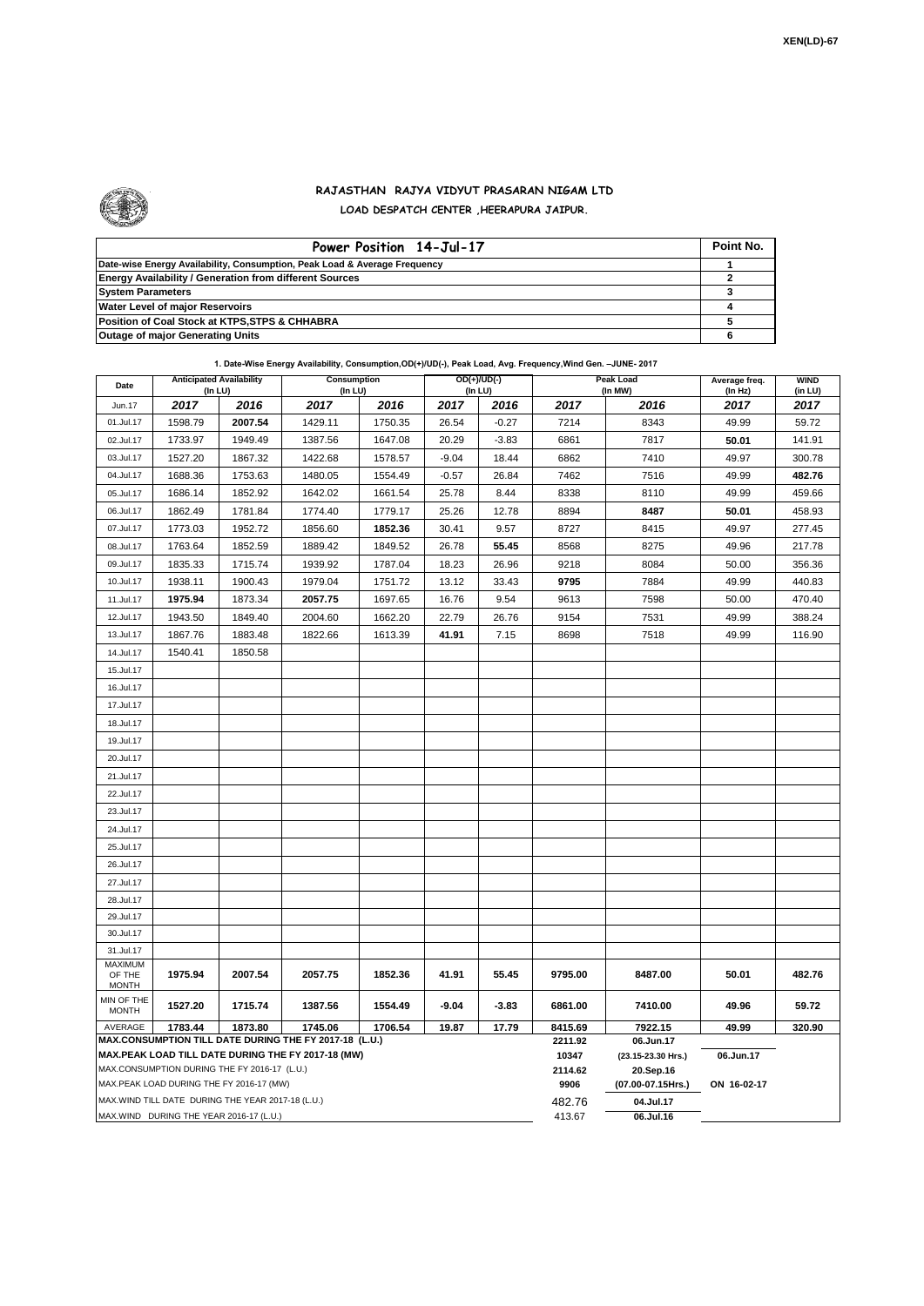

## **RAJASTHAN RAJYA VIDYUT PRASARAN NIGAM LTD LOAD DESPATCH CENTER ,HEERAPURA JAIPUR.**

| Power Position 14-Jul-17                                                  | Point No. |
|---------------------------------------------------------------------------|-----------|
| Date-wise Energy Availability, Consumption, Peak Load & Average Frequency |           |
| <b>Energy Availability / Generation from different Sources</b>            |           |
| <b>System Parameters</b>                                                  |           |
| <b>Water Level of major Reservoirs</b>                                    |           |
| Position of Coal Stock at KTPS, STPS & CHHABRA                            |           |
| <b>Outage of major Generating Units</b>                                   |           |

## **1. Date-Wise Energy Availability, Consumption,OD(+)/UD(-), Peak Load, Avg. Frequency,Wind Gen. –JUNE- 2017**

| Date                                                                                                         | <b>Anticipated Availability</b><br>(In LU) |         | <b>Consumption</b><br>(In LU) |         |         | $OD(+)/UD(-)$<br>(In LU) |                  | <b>Peak Load</b><br>(In MW)     | Average freq.<br>(In Hz) | <b>WIND</b><br>(in LU) |  |
|--------------------------------------------------------------------------------------------------------------|--------------------------------------------|---------|-------------------------------|---------|---------|--------------------------|------------------|---------------------------------|--------------------------|------------------------|--|
| Jun.17                                                                                                       | 2017                                       | 2016    | 2017                          | 2016    | 2017    | 2016                     | 2017             | 2016                            | 2017                     | 2017                   |  |
| 01.Jul.17                                                                                                    | 1598.79                                    | 2007.54 | 1429.11                       | 1750.35 | 26.54   | $-0.27$                  | 7214             | 8343                            | 49.99                    | 59.72                  |  |
| 02.Jul.17                                                                                                    | 1733.97                                    | 1949.49 | 1387.56                       | 1647.08 | 20.29   | $-3.83$                  | 6861             | 7817                            | 50.01                    | 141.91                 |  |
| 03.Jul.17                                                                                                    | 1527.20                                    | 1867.32 | 1422.68                       | 1578.57 | $-9.04$ | 18.44                    | 6862             | 7410                            | 49.97                    | 300.78                 |  |
| 04.Jul.17                                                                                                    | 1688.36                                    | 1753.63 | 1480.05                       | 1554.49 | $-0.57$ | 26.84                    | 7462             | 7516                            | 49.99                    | 482.76                 |  |
| 05.Jul.17                                                                                                    | 1686.14                                    | 1852.92 | 1642.02                       | 1661.54 | 25.78   | 8.44                     | 8338             | 8110                            | 49.99                    | 459.66                 |  |
| 06.Jul.17                                                                                                    | 1862.49                                    | 1781.84 | 1774.40                       | 1779.17 | 25.26   | 12.78                    | 8894             | 8487                            | 50.01                    | 458.93                 |  |
| 07.Jul.17                                                                                                    | 1773.03                                    | 1952.72 | 1856.60                       | 1852.36 | 30.41   | 9.57                     | 8727             | 8415                            | 49.97                    | 277.45                 |  |
| 08.Jul.17                                                                                                    | 1763.64                                    | 1852.59 | 1889.42                       | 1849.52 | 26.78   | 55.45                    | 8568             | 8275                            | 49.96                    | 217.78                 |  |
| 09.Jul.17                                                                                                    | 1835.33                                    | 1715.74 | 1939.92                       | 1787.04 | 18.23   | 26.96                    | 9218             | 8084                            | 50.00                    | 356.36                 |  |
| 10.Jul.17                                                                                                    | 1938.11                                    | 1900.43 | 1979.04                       | 1751.72 | 13.12   | 33.43                    | 9795             | 7884                            | 49.99                    | 440.83                 |  |
| 11.Jul.17                                                                                                    | 1975.94                                    | 1873.34 | 2057.75                       | 1697.65 | 16.76   | 9.54                     | 9613             | 7598                            | 50.00                    | 470.40                 |  |
| 12.Jul.17                                                                                                    | 1943.50                                    | 1849.40 | 2004.60                       | 1662.20 | 22.79   | 26.76                    | 9154             | 7531                            | 49.99                    | 388.24                 |  |
| 13.Jul.17                                                                                                    | 1867.76                                    | 1883.48 | 1822.66                       | 1613.39 | 41.91   | 7.15                     | 8698             | 7518                            | 49.99                    | 116.90                 |  |
| 14.Jul.17                                                                                                    | 1540.41                                    | 1850.58 |                               |         |         |                          |                  |                                 |                          |                        |  |
| 15.Jul.17                                                                                                    |                                            |         |                               |         |         |                          |                  |                                 |                          |                        |  |
| 16.Jul.17                                                                                                    |                                            |         |                               |         |         |                          |                  |                                 |                          |                        |  |
| 17.Jul.17                                                                                                    |                                            |         |                               |         |         |                          |                  |                                 |                          |                        |  |
| 18.Jul.17                                                                                                    |                                            |         |                               |         |         |                          |                  |                                 |                          |                        |  |
| 19.Jul.17                                                                                                    |                                            |         |                               |         |         |                          |                  |                                 |                          |                        |  |
| 20.Jul.17                                                                                                    |                                            |         |                               |         |         |                          |                  |                                 |                          |                        |  |
| 21.Jul.17                                                                                                    |                                            |         |                               |         |         |                          |                  |                                 |                          |                        |  |
| 22.Jul.17                                                                                                    |                                            |         |                               |         |         |                          |                  |                                 |                          |                        |  |
| 23.Jul.17                                                                                                    |                                            |         |                               |         |         |                          |                  |                                 |                          |                        |  |
| 24.Jul.17                                                                                                    |                                            |         |                               |         |         |                          |                  |                                 |                          |                        |  |
| 25.Jul.17                                                                                                    |                                            |         |                               |         |         |                          |                  |                                 |                          |                        |  |
| 26.Jul.17                                                                                                    |                                            |         |                               |         |         |                          |                  |                                 |                          |                        |  |
| 27.Jul.17                                                                                                    |                                            |         |                               |         |         |                          |                  |                                 |                          |                        |  |
| 28.Jul.17                                                                                                    |                                            |         |                               |         |         |                          |                  |                                 |                          |                        |  |
| 29.Jul.17                                                                                                    |                                            |         |                               |         |         |                          |                  |                                 |                          |                        |  |
| 30.Jul.17                                                                                                    |                                            |         |                               |         |         |                          |                  |                                 |                          |                        |  |
| 31.Jul.17                                                                                                    |                                            |         |                               |         |         |                          |                  |                                 |                          |                        |  |
| MAXIMUM<br>OF THE                                                                                            | 1975.94                                    | 2007.54 | 2057.75                       | 1852.36 | 41.91   | 55.45                    | 9795.00          | 8487.00                         | 50.01                    | 482.76                 |  |
| <b>MONTH</b>                                                                                                 |                                            |         |                               |         |         |                          |                  |                                 |                          |                        |  |
| MIN OF THE<br><b>MONTH</b>                                                                                   | 1527.20                                    | 1715.74 | 1387.56                       | 1554.49 | $-9.04$ | $-3.83$                  | 6861.00          | 7410.00                         | 49.96                    | 59.72                  |  |
| 1783.44<br>1873.80<br>1745.06<br>1706.54<br>19.87<br>17.79<br>AVERAGE                                        |                                            |         |                               |         |         |                          | 8415.69          | 7922.15                         | 49.99                    | 320.90                 |  |
| MAX.CONSUMPTION TILL DATE DURING THE FY 2017-18 (L.U.)<br>MAX.PEAK LOAD TILL DATE DURING THE FY 2017-18 (MW) |                                            |         |                               |         |         |                          | 2211.92<br>10347 | 06.Jun.17<br>(23.15-23.30 Hrs.) | 06.Jun.17                |                        |  |
| MAX.CONSUMPTION DURING THE FY 2016-17 (L.U.)                                                                 |                                            |         |                               |         |         |                          | 2114.62          | 20.Sep.16                       |                          |                        |  |
| MAX.PEAK LOAD DURING THE FY 2016-17 (MW)                                                                     |                                            |         |                               |         |         |                          | 9906             | (07.00-07.15Hrs.)               | ON 16-02-17              |                        |  |
| MAX. WIND TILL DATE DURING THE YEAR 2017-18 (L.U.)                                                           |                                            |         |                               |         |         |                          | 482.76           | 04.Jul.17                       |                          |                        |  |
| MAX.WIND DURING THE YEAR 2016-17 (L.U.)                                                                      |                                            |         |                               |         |         |                          |                  | 06.Jul.16                       |                          |                        |  |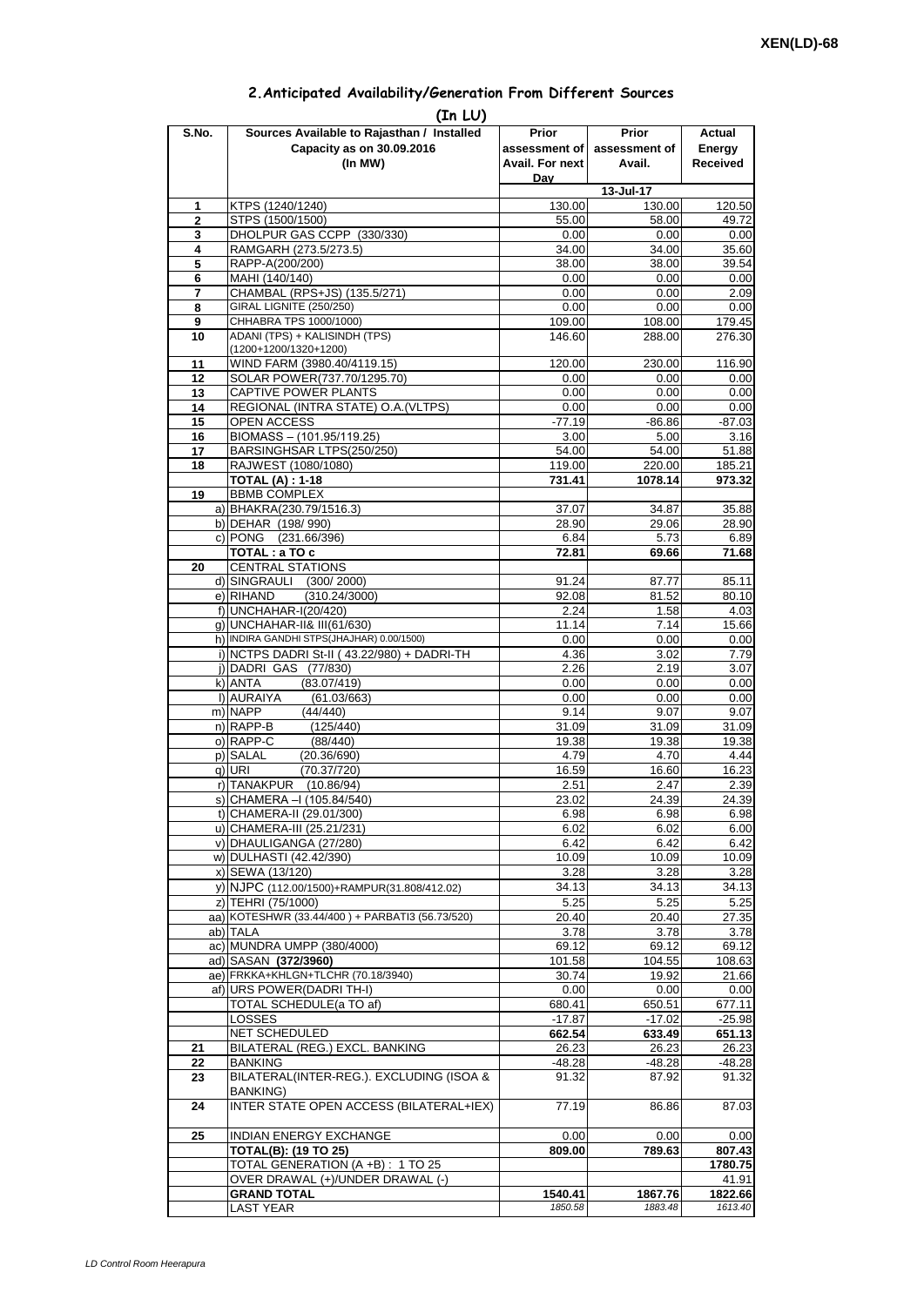| 2. Anticipated Availability/Generation From Different Sources |  |  |  |  |  |  |
|---------------------------------------------------------------|--|--|--|--|--|--|
|---------------------------------------------------------------|--|--|--|--|--|--|

| S.No.               | (In LU)<br>Sources Available to Rajasthan / Installed                    | Prior                  | <b>Prior</b>       | Actual            |
|---------------------|--------------------------------------------------------------------------|------------------------|--------------------|-------------------|
|                     | Capacity as on 30.09.2016                                                | assessment of          | assessment of      | Energy            |
|                     | (In MW)                                                                  | <b>Avail. For next</b> | Avail.             | <b>Received</b>   |
|                     |                                                                          | Dav                    |                    |                   |
|                     |                                                                          |                        | 13-Jul-17          |                   |
| 1<br>$\overline{2}$ | KTPS (1240/1240)<br>STPS (1500/1500)                                     | 130.00<br>55.00        | 130.00<br>58.00    | 120.50<br>49.72   |
| 3                   | DHOLPUR GAS CCPP (330/330)                                               | 0.00                   | 0.00               | 0.00              |
| 4                   | RAMGARH (273.5/273.5)                                                    | 34.00                  | 34.00              | 35.60             |
| 5                   | RAPP-A(200/200)                                                          | 38.00                  | 38.00              | 39.54             |
| 6                   | MAHI (140/140)                                                           | 0.00                   | 0.00               | 0.00              |
| 7<br>8              | CHAMBAL (RPS+JS) (135.5/271)<br>GIRAL LIGNITE (250/250)                  | 0.00<br>0.00           | 0.00<br>0.00       | 2.09              |
| 9                   | CHHABRA TPS 1000/1000)                                                   | 109.00                 | 108.00             | 0.00<br>179.45    |
| 10                  | ADANI (TPS) + KALISINDH (TPS)                                            | 146.60                 | 288.00             | 276.30            |
|                     | (1200+1200/1320+1200)                                                    |                        |                    |                   |
| 11                  | WIND FARM (3980.40/4119.15)                                              | 120.00                 | 230.00             | 116.90            |
| 12<br>13            | SOLAR POWER(737.70/1295.70)<br>CAPTIVE POWER PLANTS                      | 0.00<br>0.00           | 0.00<br>0.00       | 0.00<br>0.00      |
| 14                  | REGIONAL (INTRA STATE) O.A. (VLTPS)                                      | 0.00                   | 0.00               | 0.00              |
| 15                  | OPEN ACCESS                                                              | $-77.19$               | $-86.86$           | $-87.03$          |
| 16                  | BIOMASS - (101.95/119.25)                                                | 3.00                   | 5.00               | 3.16              |
| 17                  | BARSINGHSAR LTPS(250/250)                                                | 54.00                  | 54.00              | 51.88             |
| 18                  | RAJWEST (1080/1080)<br><b>TOTAL (A): 1-18</b>                            | 119.00<br>731.41       | 220.00<br>1078.14  | 185.21<br>973.32  |
| 19                  | <b>BBMB COMPLEX</b>                                                      |                        |                    |                   |
|                     | a) BHAKRA(230.79/1516.3)                                                 | 37.07                  | 34.87              | 35.88             |
|                     | b) DEHAR (198/990)                                                       | 28.90                  | 29.06              | 28.90             |
|                     | c) PONG (231.66/396)                                                     | 6.84                   | 5.73               | 6.89              |
| 20                  | TOTAL : a TO c<br><b>CENTRAL STATIONS</b>                                | 72.81                  | 69.66              | 71.68             |
|                     | d) SINGRAULI<br>(300/2000)                                               | 91.24                  | 87.77              | 85.11             |
|                     | e) RIHAND<br>(310.24/3000)                                               | 92.08                  | 81.52              | 80.10             |
|                     | f) UNCHAHAR-I(20/420)                                                    | 2.24                   | 1.58               | 4.03              |
|                     | q) UNCHAHAR-II& III(61/630)<br>h) INDIRA GANDHI STPS(JHAJHAR) 0.00/1500) | 11.14                  | 7.14               | 15.66             |
|                     | i) NCTPS DADRI St-II (43.22/980) + DADRI-TH                              | 0.00<br>4.36           | 0.00<br>3.02       | 0.00<br>7.79      |
|                     | j) DADRI GAS (77/830)                                                    | 2.26                   | 2.19               | 3.07              |
|                     | k) ANTA<br>(83.07/419)                                                   | 0.00                   | 0.00               | 0.00              |
|                     | I) AURAIYA<br>(61.03/663)                                                | 0.00                   | 0.00               | 0.00              |
|                     | m) NAPP<br>(44/440)<br>(125/440)                                         | 9.14                   | 9.07               | 9.07              |
|                     | n) RAPP-B<br>o) RAPP-C<br>(88/440)                                       | 31.09<br>19.38         | 31.09<br>19.38     | 31.09<br>19.38    |
|                     | p) SALAL<br>(20.36/690)                                                  | 4.79                   | 4.70               | 4.44              |
|                     | (70.37/720)<br>q) URI                                                    | 16.59                  | 16.60              | 16.23             |
|                     | r) TANAKPUR<br>(10.86/94)                                                | 2.51                   | 2.47               | 2.39              |
|                     | S) CHAMERA –I (105.84/540)<br>t) CHAMERA-II (29.01/300)                  | 23.02<br>6.98          | 24.39<br>6.98      | 24.39<br>6.98     |
|                     | u) CHAMERA-III (25.21/231)                                               | 6.02                   | 6.02               | 6.00              |
|                     | v) DHAULIGANGA (27/280)                                                  | 6.42                   | 6.42               | 6.42              |
|                     | w) DULHASTI (42.42/390)                                                  | 10.09                  | 10.09              | 10.09             |
|                     | x) SEWA (13/120)                                                         | 3.28                   | 3.28               | 3.28              |
|                     | y) NJPC (112.00/1500)+RAMPUR(31.808/412.02)                              | 34.13                  | 34.13              | 34.13             |
|                     | z) TEHRI (75/1000)<br>aa) KOTESHWR (33.44/400) + PARBATI3 (56.73/520)    | 5.25<br>20.40          | 5.25<br>20.40      | 5.25<br>27.35     |
|                     | ab) TALA                                                                 | 3.78                   | 3.78               | 3.78              |
|                     | ac) MUNDRA UMPP (380/4000)                                               | 69.12                  | 69.12              | 69.12             |
|                     | ad) SASAN (372/3960)                                                     | 101.58                 | 104.55             | 108.63            |
|                     | ae) FRKKA+KHLGN+TLCHR (70.18/3940)                                       | 30.74                  | 19.92              | 21.66             |
|                     | af) URS POWER(DADRI TH-I)<br>TOTAL SCHEDULE(a TO af)                     | 0.00<br>680.41         | 0.00<br>650.51     | 0.00<br>677.11    |
|                     | <b>LOSSES</b>                                                            | $-17.87$               | $-17.02$           | $-25.98$          |
|                     | NET SCHEDULED                                                            | 662.54                 | 633.49             | 651.13            |
| 21                  | BILATERAL (REG.) EXCL. BANKING                                           | 26.23                  | 26.23              | 26.23             |
| 22<br>23            | <b>BANKING</b><br>BILATERAL(INTER-REG.). EXCLUDING (ISOA &               | $-48.28$<br>91.32      | $-48.28$<br>87.92  | $-48.28$<br>91.32 |
|                     | <b>BANKING)</b>                                                          |                        |                    |                   |
| 24                  | INTER STATE OPEN ACCESS (BILATERAL+IEX)                                  | 77.19                  | 86.86              | 87.03             |
| 25                  | INDIAN ENERGY EXCHANGE                                                   | 0.00                   | 0.00               | 0.00              |
|                     | <b>TOTAL(B): (19 TO 25)</b>                                              | 809.00                 | 789.63             | 807.43            |
|                     | TOTAL GENERATION (A +B) : 1 TO 25                                        |                        |                    | 1780.75           |
|                     | OVER DRAWAL (+)/UNDER DRAWAL (-)<br><b>GRAND TOTAL</b>                   | 1540.41                |                    | 41.91<br>1822.66  |
|                     | <b>LAST YEAR</b>                                                         | 1850.58                | 1867.76<br>1883.48 | 1613.40           |
|                     |                                                                          |                        |                    |                   |